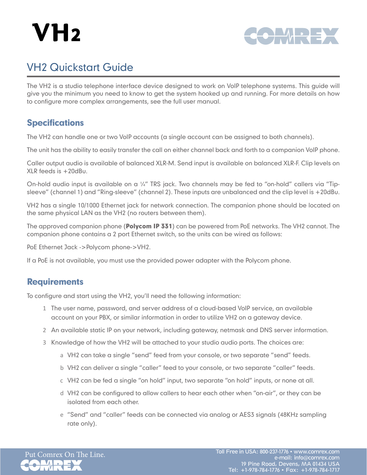# $VH<sub>2</sub>$



## VH2 Quickstart Guide

The VH2 is a studio telephone interface device designed to work on VoIP telephone systems. This guide will give you the minimum you need to know to get the system hooked up and running. For more details on how to configure more complex arrangements, see the full user manual.

## **Specifications**

The VH2 can handle one or two VoIP accounts (a single account can be assigned to both channels).

The unit has the ability to easily transfer the call on either channel back and forth to a companion VoIP phone.

Caller output audio is available of balanced XLR-M. Send input is available on balanced XLR-F. Clip levels on XLR feeds is +20dBu.

On-hold audio input is available on a 1/4" TRS jack. Two channels may be fed to "on-hold" callers via "Tipsleeve" (channel 1) and "Ring-sleeve" (channel 2). These inputs are unbalanced and the clip level is +20dBu.

VH2 has a single 10/1000 Ethernet jack for network connection. The companion phone should be located on the same physical LAN as the VH2 (no routers between them).

The approved companion phone (**Polycom IP 331**) can be powered from PoE networks. The VH2 cannot. The companion phone contains a 2 port Ethernet switch, so the units can be wired as follows:

PoE Ethernet Jack ->Polycom phone->VH2.

If a PoE is not available, you must use the provided power adapter with the Polycom phone.

## **Requirements**

To configure and start using the VH2, you'll need the following information:

- 1 The user name, password, and server address of a cloud-based VoIP service, an available account on your PBX, or similar information in order to utilize VH2 on a gateway device.
- 2 An available static IP on your network, including gateway, netmask and DNS server information.
- 3 Knowledge of how the VH2 will be attached to your studio audio ports. The choices are:
	- a VH2 can take a single "send" feed from your console, or two separate "send" feeds.
	- b VH2 can deliver a single "caller" feed to your console, or two separate "caller" feeds.
	- c VH2 can be fed a single "on hold" input, two separate "on hold" inputs, or none at all.
	- d VH2 can be configured to allow callers to hear each other when "on-air", or they can be isolated from each other.
	- e "Send" and "caller" feeds can be connected via analog or AES3 signals (48KHz sampling rate only).

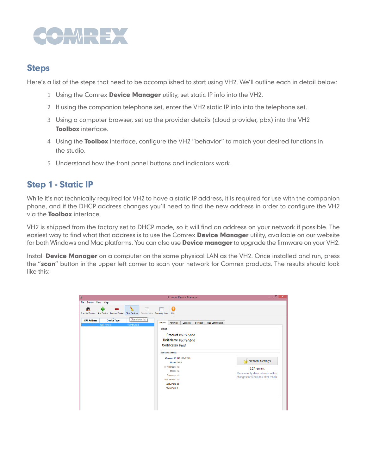

### **Steps**

Here's a list of the steps that need to be accomplished to start using VH2. We'll outline each in detail below:

- 1 Using the Comrex Device Manager utility, set static IP info into the VH2.
- 2 If using the companion telephone set, enter the VH2 static IP info into the telephone set.
- 3 Using a computer browser, set up the provider details (cloud provider, pbx) into the VH2 Toolbox interface.
- 4 Using the Toolbox interface, configure the VH2 "behavior" to match your desired functions in the studio.
- 5 Understand how the front panel buttons and indicators work.

## Step 1 - Static IP

While it's not technically required for VH2 to have a static IP address, it is required for use with the companion phone, and if the DHCP address changes you'll need to find the new address in order to configure the VH2 via the **Toolbox** interface.

VH2 is shipped from the factory set to DHCP mode, so it will find an address on your network if possible. The easiest way to find what that address is to use the Comrex Device Manager utility, available on our website for both Windows and Mac platforms. You can also use **Device manager** to upgrade the firmware on your VH2.

Install Device Manager on a computer on the same physical LAN as the VH2. Once installed and run, press the "scan" button in the upper left corner to scan your network for Comrex products. The results should look like this:

| File Device View Help<br>阳<br>Ω<br>Scan for Devices Add Device Remove Device<br>Detailed View Summary View<br><b>Clear Devices</b><br>Help<br>Clear device list.<br><b>Device Type</b><br><b>MAC Address</b><br>Device<br>Self Test<br>Web Configuration<br>Firmware<br>Licenses<br>VolP Hybrid<br>VolP Hybrid |  |
|----------------------------------------------------------------------------------------------------------------------------------------------------------------------------------------------------------------------------------------------------------------------------------------------------------------|--|
|                                                                                                                                                                                                                                                                                                                |  |
|                                                                                                                                                                                                                                                                                                                |  |
|                                                                                                                                                                                                                                                                                                                |  |
| <b>Details</b><br><b>Product VoIP Hybrid</b>                                                                                                                                                                                                                                                                   |  |
| Unit Name VolP Hybrid                                                                                                                                                                                                                                                                                          |  |
| <b>Certificates Valid</b>                                                                                                                                                                                                                                                                                      |  |
| Network Settings<br>Current IP 192 168 42 189                                                                                                                                                                                                                                                                  |  |
| Network Settings<br>Mode DHCP                                                                                                                                                                                                                                                                                  |  |
| IP Address n/a<br>3:27 remain.<br>Mask n/a                                                                                                                                                                                                                                                                     |  |
| Devices only allow network setting<br>Gateway n/a<br>changes for 5 minutes after reboot.                                                                                                                                                                                                                       |  |
| DNS Server n/a                                                                                                                                                                                                                                                                                                 |  |
| XML Port 80                                                                                                                                                                                                                                                                                                    |  |
| Web Port 0                                                                                                                                                                                                                                                                                                     |  |
|                                                                                                                                                                                                                                                                                                                |  |
|                                                                                                                                                                                                                                                                                                                |  |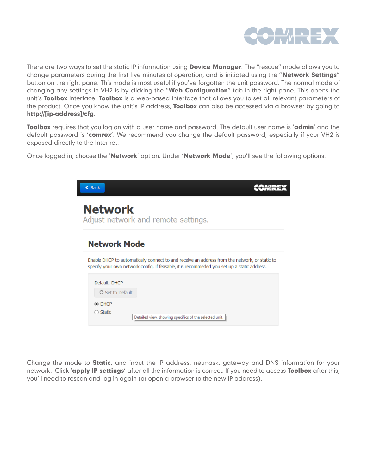

There are two ways to set the static IP information using **Device Manager**. The "rescue" mode allows you to change parameters during the first five minutes of operation, and is initiated using the "Network Settings" button on the right pane. This mode is most useful if you've forgotten the unit password. The normal mode of changing any settings in VH2 is by clicking the "Web Configuration" tab in the right pane. This opens the unit's Toolbox interface. Toolbox is a web-based interface that allows you to set all relevant parameters of the product. Once you know the unit's IP address, **Toolbox** can also be accessed via a browser by going to http://[ip-address]/cfg.

Toolbox requires that you log on with a user name and password. The default user name is 'admin' and the default password is 'comrex'. We recommend you change the default password, especially if your VH2 is exposed directly to the Internet.

Once logged in, choose the 'Network' option. Under 'Network Mode', you'll see the following options:

| $\triangleleft$ Back    |                                                                                                                                                                                              |
|-------------------------|----------------------------------------------------------------------------------------------------------------------------------------------------------------------------------------------|
| <b>Network</b>          | Adjust network and remote settings.                                                                                                                                                          |
| <b>Network Mode</b>     |                                                                                                                                                                                              |
|                         | Enable DHCP to automatically connect to and receive an address from the network, or static to<br>specify your own network config. If feasable, it is recommeded you set up a static address. |
| Default: DHCP           |                                                                                                                                                                                              |
| <b>C</b> Set to Default |                                                                                                                                                                                              |
| ◉ DHCP                  |                                                                                                                                                                                              |
| <b>Static</b>           | Detailed view, showing specifics of the selected unit.                                                                                                                                       |

Change the mode to **Static**, and input the IP address, netmask, gateway and DNS information for your network. Click 'apply IP settings' after all the information is correct. If you need to access Toolbox after this, you'll need to rescan and log in again (or open a browser to the new IP address).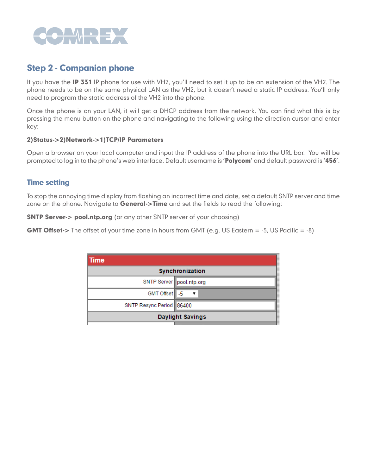

## Step 2 - Companion phone

If you have the IP 331 IP phone for use with VH2, you'll need to set it up to be an extension of the VH2. The phone needs to be on the same physical LAN as the VH2, but it doesn't need a static IP address. You'll only need to program the static address of the VH2 into the phone.

Once the phone is on your LAN, it will get a DHCP address from the network. You can find what this is by pressing the menu button on the phone and navigating to the following using the direction cursor and enter key:

#### 2)Status->2)Network->1)TCP/IP Parameters

Open a browser on your local computer and input the IP address of the phone into the URL bar. You will be prompted to log in to the phone's web interface. Default username is 'Polycom' and default password is '456'.

#### Time setting

To stop the annoying time display from flashing an incorrect time and date, set a default SNTP server and time zone on the phone. Navigate to **General->Time** and set the fields to read the following:

**SNTP Server-> pool.ntp.org** (or any other SNTP server of your choosing)

GMT Offset-> The offset of your time zone in hours from GMT (e.g. US Eastern = -5, US Pacific = -8)

| Time                     |            |                          |
|--------------------------|------------|--------------------------|
| Synchronization          |            |                          |
|                          |            | SNTP Server pool.ntp.org |
|                          | GMT Offset |                          |
| SNTP Resync Period 86400 |            |                          |
| <b>Daylight Savings</b>  |            |                          |
|                          |            |                          |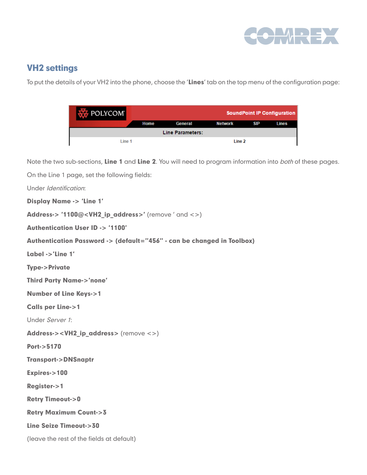

## VH2 settings

To put the details of your VH2 into the phone, choose the 'Lines' tab on the top menu of the configuration page:

| $\sim$ POLYCOM          |      |         |                |            | <b>SoundPoint IP Configuration</b> |
|-------------------------|------|---------|----------------|------------|------------------------------------|
|                         | Home | General | <b>Network</b> | <b>SIP</b> | <b>Lines</b>                       |
| <b>Line Parameters:</b> |      |         |                |            |                                    |
| Line 1                  |      |         | Line 2         |            |                                    |

Note the two sub-sections, Line 1 and Line 2. You will need to program information into both of these pages.

On the Line 1 page, set the following fields:

Under Identification:

Display Name -> 'Line 1'

Address-> '1100@<VH2 ip address>' (remove ' and <>)

Authentication User ID -> '1100'

Authentication Password -> (default="456" - can be changed in Toolbox)

Label ->'Line 1'

Type->Private

Third Party Name->'none'

Number of Line Keys->1

Calls per Line->1

Under Server 1:

Address-><VH2\_ip\_address> (remove <>)

Port->5170

Transport->DNSnaptr

Expires->100

Register->1

Retry Timeout->0

Retry Maximum Count->3

Line Seize Timeout->30

(leave the rest of the fields at default)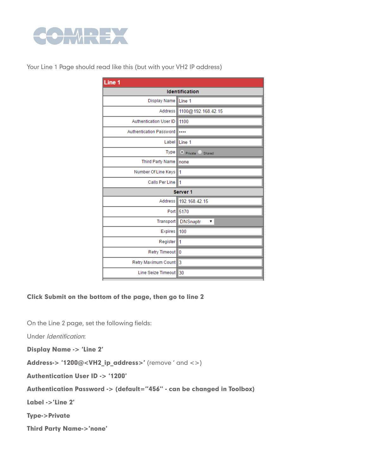

Your Line 1 Page should read like this (but with your VH2 IP address)

| Line <sub>1</sub>              |                            |  |  |
|--------------------------------|----------------------------|--|--|
| <b>Identification</b>          |                            |  |  |
| <b>Display Name</b>            | Line 1                     |  |  |
| Address                        | 1100@192.168.42.15         |  |  |
| <b>Authentication User ID</b>  | 1100                       |  |  |
| <b>Authentication Password</b> |                            |  |  |
| Label                          | Line 1                     |  |  |
| <b>Type</b>                    | <b>O</b> Private<br>Shared |  |  |
| <b>Third Party Name</b>        | Inone                      |  |  |
| Number Of Line Keys            | 11                         |  |  |
| Calls Per Line                 | l1                         |  |  |
|                                | Server 1                   |  |  |
| <b>Address</b>                 | 192.168.42.15              |  |  |
|                                |                            |  |  |
| Port I                         | 5170                       |  |  |
| Transport                      | <b>DNSnaptr</b><br>▼       |  |  |
| <b>Expires</b>                 | 100                        |  |  |
| Register                       | 1                          |  |  |
| Retry Timeout 0                |                            |  |  |
| Retry Maximum Count            | l3                         |  |  |

Click Submit on the bottom of the page, then go to line 2

On the Line 2 page, set the following fields:

Under Identification:

Display Name -> 'Line 2'

Address-> '1200@<VH2\_ip\_address>' (remove ' and <>)

Authentication User ID -> '1200'

Authentication Password -> (default="456" - can be changed in Toolbox)

Label ->'Line 2'

Type->Private

Third Party Name->'none'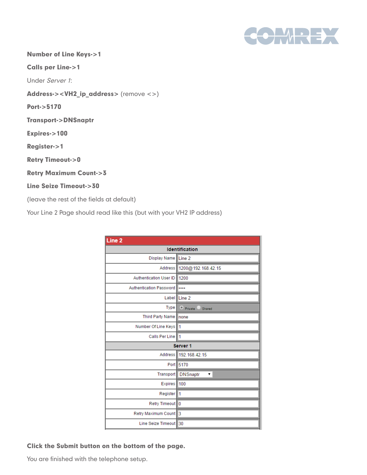

Number of Line Keys->1

Calls per Line->1

Under Server 1:

Address-><VH2\_ip\_address> (remove <>)

Port->5170

Transport->DNSnaptr

Expires->100

Register->1

Retry Timeout->0

Retry Maximum Count->3

#### Line Seize Timeout->30

(leave the rest of the fields at default)

Your Line 2 Page should read like this (but with your VH2 IP address)

| Line <sub>2</sub>              |                                |  |  |
|--------------------------------|--------------------------------|--|--|
| <b>Identification</b>          |                                |  |  |
| Display Name                   | Line <sub>2</sub>              |  |  |
| Address                        | 1200@192.168.42.15             |  |  |
| <b>Authentication User ID</b>  | 1200                           |  |  |
| <b>Authentication Password</b> |                                |  |  |
| Label                          | Line <sub>2</sub>              |  |  |
| <b>Type</b>                    | <sup>O</sup> Private<br>Shared |  |  |
| <b>Third Party Name</b>        | none                           |  |  |
| Number Of Line Keys            | 1                              |  |  |
| <b>Calls Per Line</b>          | 1                              |  |  |
|                                | Server <sub>1</sub>            |  |  |
| <b>Address</b>                 | 192.168.42.15                  |  |  |
|                                | Port 5170                      |  |  |
| Transport                      | <b>DNSnaptr</b><br>▼           |  |  |
| <b>Expires</b>                 | 100                            |  |  |
| Register                       | 11                             |  |  |
| Retry Timeout 0                |                                |  |  |
| Retry Maximum Count 3          |                                |  |  |
| Line Seize Timeout             | 30                             |  |  |

#### Click the Submit button on the bottom of the page.

You are finished with the telephone setup.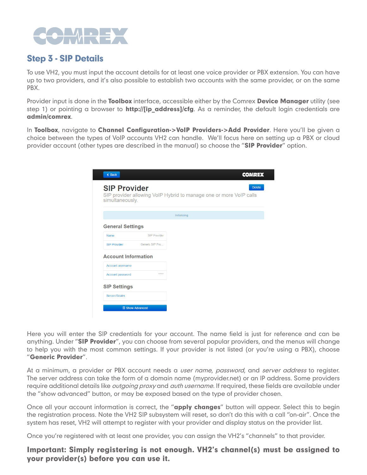

## Step 3 - SIP Details

To use VH2, you must input the account details for at least one voice provider or PBX extension. You can have up to two providers, and it's also possible to establish two accounts with the same provider, or on the same PBX.

Provider input is done in the **Toolbox** interface, accessible either by the Comrex **Device Manager** utility (see step 1) or pointing a browser to http://[ip\_address]/cfg. As a reminder, the default login credentials are admin/comrex.

In Toolbox, navigate to Channel Configuration->VoIP Providers->Add Provider. Here you'll be given a choice between the types of VoIP accounts VH2 can handle. We'll focus here on setting up a PBX or cloud provider account (other types are described in the manual) so choose the "SIP Provider" option.

| $\triangle$ Back                       |                     | COMREX                                                                              |
|----------------------------------------|---------------------|-------------------------------------------------------------------------------------|
| <b>SIP Provider</b><br>simultaneously. |                     | <b>Delete</b><br>SIP provider allowing VoIP Hybrid to manage one or more VoIP calls |
|                                        |                     | Initializing                                                                        |
| <b>General Settings</b>                |                     |                                                                                     |
| Name                                   | <b>SIP Provider</b> |                                                                                     |
| SIP Provider                           | Generic SIP Pro     |                                                                                     |
| <b>Account Information</b>             |                     |                                                                                     |
| Account username                       |                     |                                                                                     |
| Account password                       | *****               |                                                                                     |
| <b>SIP Settings</b>                    |                     |                                                                                     |
| Server/Realm                           |                     |                                                                                     |
| <b>E</b> Show Advanced                 |                     |                                                                                     |
|                                        |                     |                                                                                     |

Here you will enter the SIP credentials for your account. The name field is just for reference and can be anything. Under "SIP Provider", you can choose from several popular providers, and the menus will change to help you with the most common settings. If your provider is not listed (or you're using a PBX), choose "Generic Provider".

At a minimum, a provider or PBX account needs a *user name, password*, and server address to register. The server address can take the form of a domain name (myprovider.net) or an IP address. Some providers require additional details like *outgoing proxy* and *auth username*. If required, these fields are available under the "show advanced" button, or may be exposed based on the type of provider chosen.

Once all your account information is correct, the "**apply changes**" button will appear. Select this to begin the registration process. Note the VH2 SIP subsystem will reset, so don't do this with a call "on-air". Once the system has reset, VH2 will attempt to register with your provider and display status on the provider list.

Once you're registered with at least one provider, you can assign the VH2's "channels" to that provider.

#### Important: Simply registering is not enough. VH2's channel(s) must be assigned to your provider(s) before you can use it.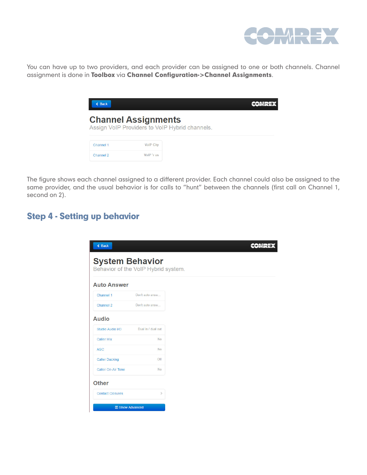

You can have up to two providers, and each provider can be assigned to one or both channels. Channel assignment is done in Toolbox via Channel Configuration->Channel Assignments.

| <b>Back</b> |                            |                                                |
|-------------|----------------------------|------------------------------------------------|
|             | <b>Channel Assignments</b> | Assign VoIP Providers to VoIP Hybrid channels. |
| Channel 1   | <b>VolP City</b>           |                                                |
| Channel 2   | VolP 'r us                 |                                                |

The figure shows each channel assigned to a different provider. Each channel could also be assigned to the same provider, and the usual behavior is for calls to "hunt" between the channels (first call on Channel 1, second on 2).

## Step 4 - Setting up behavior

| $\triangleleft$ Back                                          |                    |
|---------------------------------------------------------------|--------------------|
| <b>System Behavior</b><br>Behavior of the VoIP Hybrid system. |                    |
| <b>Auto Answer</b>                                            |                    |
| Channel 1                                                     | Don't auto answ    |
| Channel 2                                                     | Don't auto answ    |
| <b>Audio</b>                                                  |                    |
| Studio Audio I/O                                              | Dual in / dual out |
| <b>Caller Mix</b>                                             | <b>No</b>          |
| <b>AGC</b>                                                    | <b>No</b>          |
| <b>Caller Ducking</b>                                         | Off                |
| <b>Caller On-Air Tone</b>                                     | <b>No</b>          |
| <b>Other</b>                                                  |                    |
|                                                               |                    |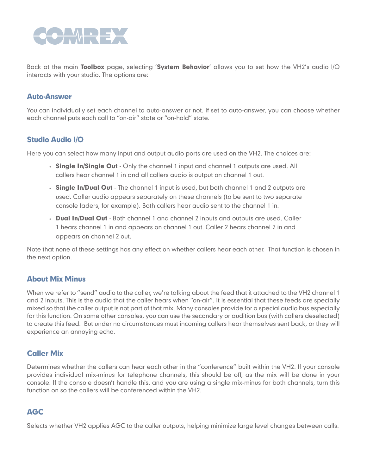

Back at the main Toolbox page, selecting 'System Behavior' allows you to set how the VH2's audio I/O interacts with your studio. The options are:

#### Auto-Answer

You can individually set each channel to auto-answer or not. If set to auto-answer, you can choose whether each channel puts each call to "on-air" state or "on-hold" state.

#### Studio Audio I/O

Here you can select how many input and output audio ports are used on the VH2. The choices are:

- Single In/Single Out Only the channel 1 input and channel 1 outputs are used. All callers hear channel 1 in and all callers audio is output on channel 1 out.
- Single In/Dual Out The channel 1 input is used, but both channel 1 and 2 outputs are used. Caller audio appears separately on these channels (to be sent to two separate console faders, for example). Both callers hear audio sent to the channel 1 in.
- Dual In/Dual Out Both channel 1 and channel 2 inputs and outputs are used. Caller 1 hears channel 1 in and appears on channel 1 out. Caller 2 hears channel 2 in and appears on channel 2 out.

Note that none of these settings has any effect on whether callers hear each other. That function is chosen in the next option.

#### About Mix Minus

When we refer to "send" audio to the caller, we're talking about the feed that it attached to the VH2 channel 1 and 2 inputs. This is the audio that the caller hears when "on-air". It is essential that these feeds are specially mixed so that the caller output is not part of that mix. Many consoles provide for a special audio bus especially for this function. On some other consoles, you can use the secondary or audition bus (with callers deselected) to create this feed. But under no circumstances must incoming callers hear themselves sent back, or they will experience an annoying echo.

#### Caller Mix

Determines whether the callers can hear each other in the "conference" built within the VH2. If your console provides individual mix-minus for telephone channels, this should be off, as the mix will be done in your console. If the console doesn't handle this, and you are using a single mix-minus for both channels, turn this function on so the callers will be conferenced within the VH2.

#### AGC

Selects whether VH2 applies AGC to the caller outputs, helping minimize large level changes between calls.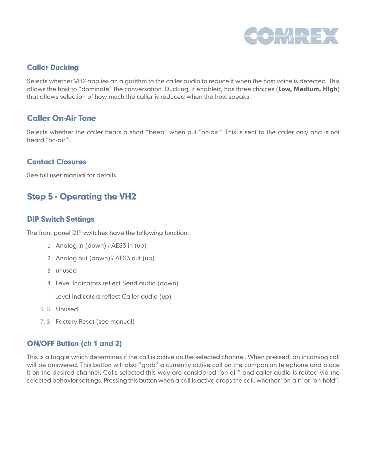

#### Caller Ducking

Selects whether VH2 applies an algorithm to the caller audio to reduce it when the host voice is detected. This allows the host to "dominate" the conversation. Ducking, if enabled, has three choices (Low, Medium, High) that allows selection of how much the caller is reduced when the host speaks.

#### Caller On-Air Tone

Selects whether the caller hears a short "beep" when put "on-air". This is sent to the caller only and is not heard "on-air".

#### Contact Closures

See full user manual for details.

## Step 5 - Operating the VH2

#### DIP Switch Settings

The front panel DIP switches have the following function:

- 1 Analog in (down) / AES3 in (up)
- 2 Analog out (down) / AES3 out (up)
- 3 unused
- 4 Level Indicators reflect Send audio (down)

Level Indicators reflect Caller audio (up)

- 5, 6 Unused
- 7, 8 Factory Reset (see manual)

#### ON/OFF Button (ch 1 and 2)

This is a toggle which determines if the call is active on the selected channel. When pressed, an incoming call will be answered. This button will also "grab" a currently active call on the companion telephone and place it on the desired channel. Calls selected this way are considered "on-air" and caller audio is routed via the selected behavior settings. Pressing this button when a call is active drops the call, whether "on-air" or "on-hold".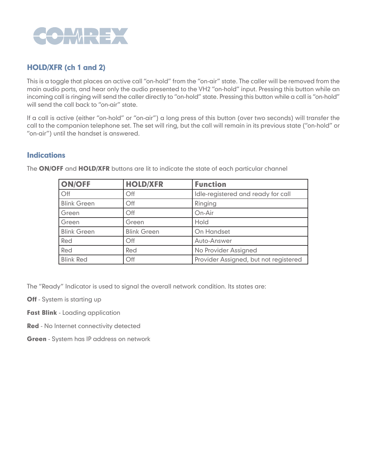

#### HOLD/XFR (ch 1 and 2)

This is a toggle that places an active call "on-hold" from the "on-air" state. The caller will be removed from the main audio ports, and hear only the audio presented to the VH2 "on-hold" input. Pressing this button while an incoming call is ringing will send the caller directly to "on-hold" state. Pressing this button while a call is "on-hold" will send the call back to "on-air" state.

If a call is active (either "on-hold" or "on-air") a long press of this button (over two seconds) will transfer the call to the companion telephone set. The set will ring, but the call will remain in its previous state ("on-hold" or "on-air") until the handset is answered.

#### **Indications**

| <b>ON/OFF</b>      | <b>HOLD/XFR</b>    | <b>Function</b>                       |
|--------------------|--------------------|---------------------------------------|
| Off                | Off                | Idle-registered and ready for call    |
| <b>Blink Green</b> | Off                | Ringing                               |
| Green              | Off                | On-Air                                |
| Green              | Green              | Hold                                  |
| <b>Blink Green</b> | <b>Blink Green</b> | On Handset                            |
| Red                | Off                | Auto-Answer                           |
| Red                | Red                | No Provider Assigned                  |
| <b>Blink Red</b>   | Off                | Provider Assigned, but not registered |

The ON/OFF and HOLD/XFR buttons are lit to indicate the state of each particular channel

The "Ready" Indicator is used to signal the overall network condition. Its states are:

- **Off** System is starting up
- Fast Blink Loading application
- Red No Internet connectivity detected
- **Green** System has IP address on network